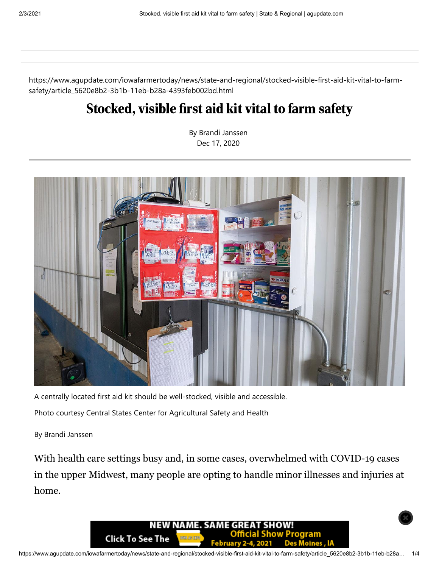https://www.agupdate.com/iowafarmertoday/news/state-and-regional/stocked-visible-first-aid-kit-vital-to-farmsafety/article\_5620e8b2-3b1b-11eb-b28a-4393feb002bd.html

## Stocked, visible first aid kit vital to farm safety

By Brandi Janssen Dec 17, 2020



A centrally located first aid kit should be well-stocked, visible and accessible. Photo courtesy Central States Center for Agricultural Safety and Health

By Brandi Janssen

With health care settings busy and, in some cases, overwhelmed with COVID-19 cases in the upper Midwest, many people are opting to handle minor illnesses and injuries at home.

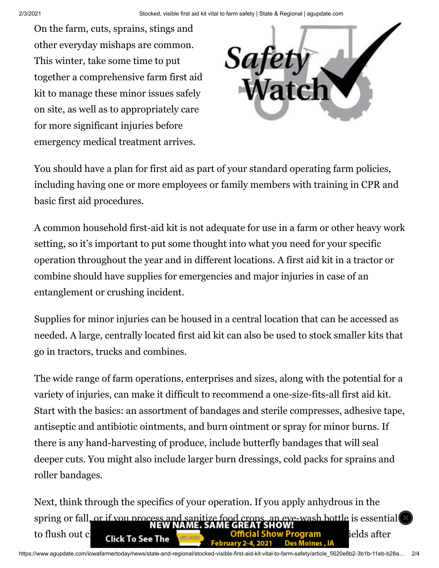On the farm, cuts, sprains, stings and other everyday mishaps are common. This winter, take some time to put together a comprehensive farm first aid kit to manage these minor issues safely on site, as well as to appropriately care for more significant injuries before emergency medical treatment arrives.



You should have a plan for first aid as part of your standard operating farm policies, including having one or more employees or family members with training in CPR and basic first aid procedures.

A common household first-aid kit is not adequate for use in a farm or other heavy work setting, so it's important to put some thought into what you need for your specific operation throughout the year and in different locations. A first aid kit in a tractor or combine should have supplies for emergencies and major injuries in case of an entanglement or crushing incident.

Supplies for minor injuries can be housed in a central location that can be accessed as needed. A large, centrally located first aid kit can also be used to stock smaller kits that go in tractors, trucks and combines.

The wide range of farm operations, enterprises and sizes, along with the potential for a variety of injuries, can make it difficult to recommend a one-size-fits-all first aid kit. Start with the basics: an assortment of bandages and sterile compresses, adhesive tape, antiseptic and antibiotic ointments, and burn ointment or spray for minor burns. If there is any hand-harvesting of produce, include butterfly bandages that will seal deeper cuts. You might also include larger burn dressings, cold packs for sprains and roller bandages.

Next, think through the specifics of your operation. If you apply anhydrous in the spring or fall, or if you process and sanitize food crops, an eye-wash bottle is essential to flush out chemical show Program in the microscopy of the original Show Program in the fields after -ebruary 2-4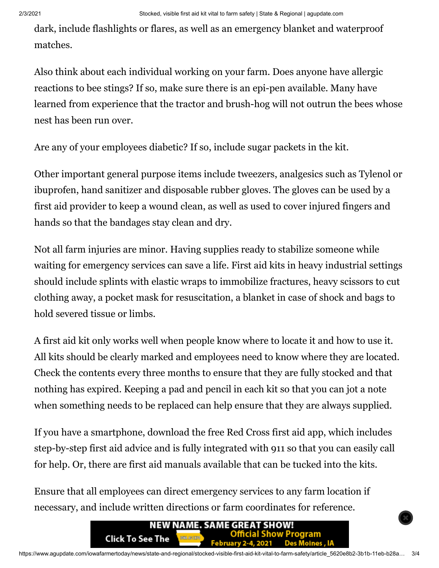dark, include flashlights or flares, as well as an emergency blanket and waterproof matches.

Also think about each individual working on your farm. Does anyone have allergic reactions to bee stings? If so, make sure there is an epi-pen available. Many have learned from experience that the tractor and brush-hog will not outrun the bees whose nest has been run over.

Are any of your employees diabetic? If so, include sugar packets in the kit.

Other important general purpose items include tweezers, analgesics such as Tylenol or ibuprofen, hand sanitizer and disposable rubber gloves. The gloves can be used by a first aid provider to keep a wound clean, as well as used to cover injured fingers and hands so that the bandages stay clean and dry.

Not all farm injuries are minor. Having supplies ready to stabilize someone while waiting for emergency services can save a life. First aid kits in heavy industrial settings should include splints with elastic wraps to immobilize fractures, heavy scissors to cut clothing away, a pocket mask for resuscitation, a blanket in case of shock and bags to hold severed tissue or limbs.

A first aid kit only works well when people know where to locate it and how to use it. All kits should be clearly marked and employees need to know where they are located. Check the contents every three months to ensure that they are fully stocked and that nothing has expired. Keeping a pad and pencil in each kit so that you can jot a note when something needs to be replaced can help ensure that they are always supplied.

If you have a smartphone, download the free Red Cross first aid app, which includes step-by-step first aid advice and is fully integrated with 911 so that you can easily call for help. Or, there are first aid manuals available that can be tucked into the kits.

Ensure that all employees can direct emergency services to any farm location if necessary, and include written directions or farm coordinates for reference.